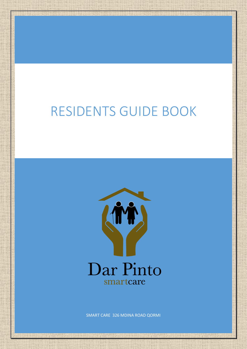# RESIDENTS GUIDE BOOK



SMART CARE 326 MDINA ROAD QORMI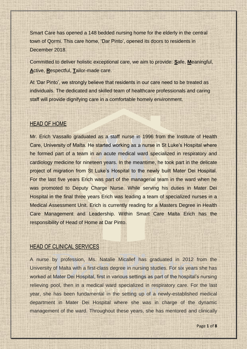Smart Care has opened a 148 bedded nursing home for the elderly in the central town of Qormi. This care home, 'Dar Pinto', opened its doors to residents in December 2018.

Committed to deliver holistic exceptional care, we aim to provide: **S**afe, **M**eaningful, **A**ctive, **R**espectful, **T**ailor-made care.

At 'Dar Pinto', we strongly believe that residents in our care need to be treated as individuals. The dedicated and skilled team of healthcare professionals and caring staff will provide dignifying care in a comfortable homely environment.

#### HEAD OF HOME

Mr. Erich Vassallo graduated as a staff nurse in 1996 from the Institute of Health Care, University of Malta. He started working as a nurse in St Luke's Hospital where he formed part of a team in an acute medical ward specialized in respiratory and cardiology medicine for nineteen years. In the meantime, he took part in the delicate project of migration from St Luke's Hospital to the newly built Mater Dei Hospital. For the last five years Erich was part of the managerial team in the ward when he was promoted to Deputy Charge Nurse. While serving his duties in Mater Dei Hospital in the final three years Erich was leading a team of specialized nurses in a Medical Assessment Unit. Erich is currently reading for a Masters Degree in Health Care Management and Leadership. Within Smart Care Malta Erich has the responsibility of Head of Home at Dar Pinto.

#### HEAD OF CLINICAL SERVICES

A nurse by profession, Ms. Natalie Micallef has graduated in 2012 from the University of Malta with a first-class degree in nursing studies. For six years she has worked at Mater Dei Hospital, first in various settings as part of the hospital's nursing relieving pool, then in a medical ward specialized in respiratory care. For the last year, she has been fundamental in the setting up of a newly-established medical department in Mater Dei Hospital where she was in charge of the dynamic management of the ward. Throughout these years, she has mentored and clinically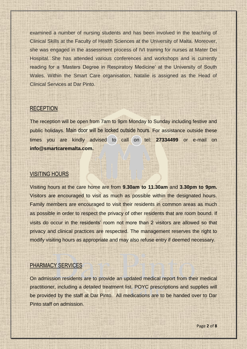examined a number of nursing students and has been involved in the teaching of Clinical Skills at the Faculty of Health Sciences at the University of Malta. Moreover, she was engaged in the assessment process of IVI training for nurses at Mater Dei Hospital. She has attended various conferences and workshops and is currently reading for a 'Masters Degree in Respiratory Medicine' at the University of South Wales. Within the Smart Care organisation, Natalie is assigned as the Head of Clinical Services at Dar Pinto.

## **RECEPTION**

The reception will be open from 7am to 9pm Monday to Sunday including festive and public holidays. Main door will be locked outside hours. For assistance outside these times you are kindly advised to call on tel: **27334499** or e-mail on **info@smartcaremalta.com.** 

## VISITING HOURS

Visiting hours at the care home are from **9.30am to 11.30am** and **3.30pm to 9pm.** Visitors are encouraged to visit as much as possible within the designated hours. Family members are encouraged to visit their residents in common areas as much as possible in order to respect the privacy of other residents that are room bound. If visits do occur in the residents' room not more than 2 visitors are allowed so that privacy and clinical practices are respected. The management reserves the right to modify visiting hours as appropriate and may also refuse entry if deemed necessary.

# PHARMACY SERVICES

On admission residents are to provide an updated medical report from their medical practitioner, including a detailed treatment list. POYC prescriptions and supplies will be provided by the staff at Dar Pinto. All medications are to be handed over to Dar Pinto staff on admission.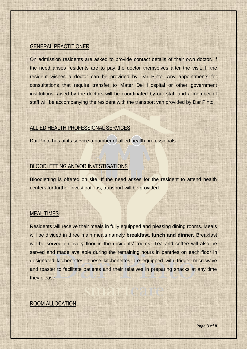## GENERAL PRACTITIONER

On admission residents are asked to provide contact details of their own doctor. If the need arises residents are to pay the doctor themselves after the visit. If the resident wishes a doctor can be provided by Dar Pinto. Any appointments for consultations that require transfer to Mater Dei Hospital or other government institutions raised by the doctors will be coordinated by our staff and a member of staff will be accompanying the resident with the transport van provided by Dar Pinto.

## ALLIED HEALTH PROFESSIONAL SERVICES

Dar Pinto has at its service a number of allied health professionals.

## BLOODLETTING AND/OR INVESTIGATIONS

Bloodletting is offered on site. If the need arises for the resident to attend health centers for further investigations, transport will be provided.

## MEAL TIMES

Residents will receive their meals in fully equipped and pleasing dining rooms. Meals will be divided in three main meals namely **breakfast, lunch and dinner.** Breakfast will be served on every floor in the residents' rooms. Tea and coffee will also be served and made available during the remaining hours in pantries on each floor in designated kitchenettes. These kitchenettes are equipped with fridge, microwave and toaster to facilitate patients and their relatives in preparing snacks at any time they please.

#### ROOM ALLOCATION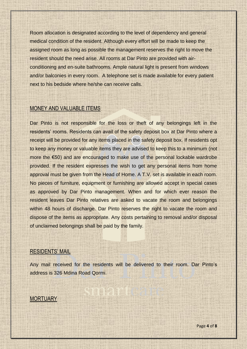Room allocation is designated according to the level of dependency and general medical condition of the resident. Although every effort will be made to keep the assigned room as long as possible the management reserves the right to move the resident should the need arise. All rooms at Dar Pinto are provided with airconditioning and en-suite bathrooms. Ample natural light is present from windows and/or balconies in every room. A telephone set is made available for every patient next to his bedside where he/she can receive calls.

## MONEY AND VALUABLE ITEMS

Dar Pinto is not responsible for the loss or theft of any belongings left in the residents' rooms. Residents can avail of the safety deposit box at Dar Pinto where a receipt will be provided for any items placed in the safety deposit box. If residents opt to keep any money or valuable items they are advised to keep this to a minimum (not more the €50) and are encouraged to make use of the personal lockable wardrobe provided. If the resident expresses the wish to get any personal items from home approval must be given from the Head of Home. A T.V. set is available in each room. No pieces of furniture, equipment or furnishing are allowed accept in special cases as approved by Dar Pinto management. When and for which ever reason the resident leaves Dar Pinto relatives are asked to vacate the room and belongings within 48 hours of discharge. Dar Pinto reserves the right to vacate the room and dispose of the items as appropriate. Any costs pertaining to removal and/or disposal of unclaimed belongings shall be paid by the family.

#### RESIDENTS' MAIL

Any mail received for the residents will be delivered to their room. Dar Pinto's address is 326 Mdina Road Qormi.

#### **MORTUARY**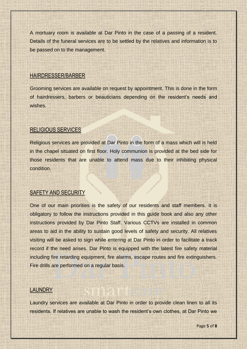A mortuary room is available at Dar Pinto in the case of a passing of a resident. Details of the funeral services are to be settled by the relatives and information is to be passed on to the management.

#### HAIRDRESSER/BARBER

Grooming services are available on request by appointment. This is done in the form of hairdressers, barbers or beauticians depending on the resident's needs and wishes.

## RELIGIOUS SERVICES

Religious services are provided at Dar Pinto in the form of a mass which will is held in the chapel situated on first floor. Holy communion is provided at the bed side for those residents that are unable to attend mass due to their inhibiting physical condition.

# SAFETY AND SECURITY

One of our main priorities is the safety of our residents and staff members. It is obligatory to follow the instructions provided in this guide book and also any other instructions provided by Dar Pinto Staff. Various CCTVs are installed in common areas to aid in the ability to sustain good levels of safety and security. All relatives visiting will be asked to sign while entering at Dar Pinto in order to facilitate a track record if the need arises. Dar Pinto is equipped with the latest fire safety material including fire retarding equipment, fire alarms, escape routes and fire extinguishers. Fire drills are performed on a regular basis.

#### **LAUNDRY**

Laundry services are available at Dar Pinto in order to provide clean linen to all its residents. If relatives are unable to wash the resident's own clothes, at Dar Pinto we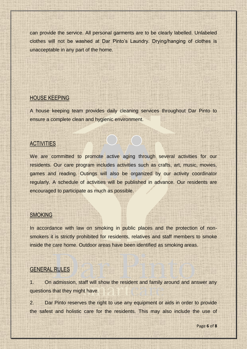can provide the service. All personal garments are to be clearly labelled. Unlabeled clothes will not be washed at Dar Pinto's Laundry. Drying/hanging of clothes is unacceptable in any part of the home.

## HOUSE KEEPING

A house keeping team provides daily cleaning services throughout Dar Pinto to ensure a complete clean and hygienic environment.

# **ACTIVITIES**

We are committed to promote active aging through several activities for our residents. Our care program includes activities such as crafts, art, music, movies, games and reading. Outings will also be organized by our activity coordinator regularly. A schedule of activities will be published in advance. Our residents are encouraged to participate as much as possible.

## **SMOKING**

In accordance with law on smoking in public places and the protection of nonsmokers it is strictly prohibited for residents, relatives and staff members to smoke inside the care home. Outdoor areas have been identified as smoking areas.

## GENERAL RULES

1. On admission, staff will show the resident and family around and answer any questions that they might have.

2. Dar Pinto reserves the right to use any equipment or aids in order to provide the safest and holistic care for the residents. This may also include the use of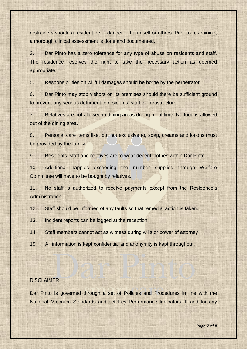restrainers should a resident be of danger to harm self or others. Prior to restraining, a thorough clinical assessment is done and documented.

3. Dar Pinto has a zero tolerance for any type of abuse on residents and staff. The residence reserves the right to take the necessary action as deemed appropriate.

5. Responsibilities on willful damages should be borne by the perpetrator.

6. Dar Pinto may stop visitors on its premises should there be sufficient ground to prevent any serious detriment to residents, staff or infrastructure.

7. Relatives are not allowed in dining areas during meal time. No food is allowed out of the dining area.

8. Personal care items like, but not exclusive to, soap, creams and lotions must be provided by the family.

9. Residents, staff and relatives are to wear decent clothes within Dar Pinto.

10. Additional nappies exceeding the number supplied through Welfare Committee will have to be bought by relatives.

11. No staff is authorized to receive payments except from the Residence's Administration

12. Staff should be informed of any faults so that remedial action is taken.

13. Incident reports can be logged at the reception.

14. Staff members cannot act as witness during wills or power of attorney

15. All information is kept confidential and anonymity is kept throughout.

#### **DISCLAIMER**

Dar Pinto is governed through a set of Policies and Procedures in line with the National Minimum Standards and set Key Performance Indicators. If and for any